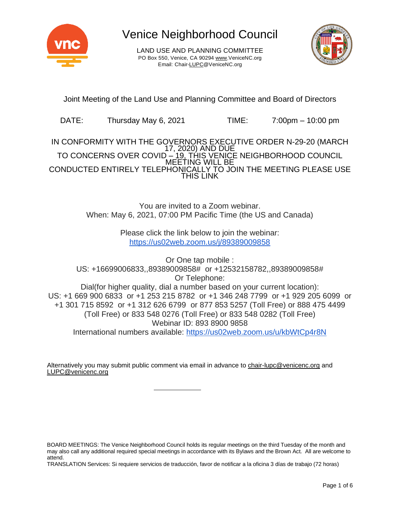

LAND USE AND PLANNING COMMITTEE PO Box 550, Venice, CA 90294 [www.VeniceNC.org](http://www.venicenc.org/) Email: Chai[r-LUPC@VeniceNC.org](mailto:LUPC@VeniceNC.org)



Joint Meeting of the Land Use and Planning Committee and Board of Directors

DATE: Thursday May 6, 2021 TIME: 7:00pm – 10:00 pm

IN CONFORMITY WITH THE GOVERNORS EXECUTIVE ORDER N-29-20 (MARCH 17, 2020) AND DUE TO CONCERNS OVER COVID <u>– 19, THIS VENIC</u>E NEIGHBORHOOD COUNCIL MEETING WILL BE CONDUCTED ENTIRELY TELEPHONICALLY TO JOIN THE MEETING PLEASE USE THIS LINK

> You are invited to a Zoom webinar. When: May 6, 2021, 07:00 PM Pacific Time (the US and Canada)

> > Please click the link below to join the webinar: <https://us02web.zoom.us/j/89389009858>

Or One tap mobile : US: +16699006833,,89389009858# or +12532158782,,89389009858# Or Telephone: Dial(for higher quality, dial a number based on your current location): US: +1 669 900 6833 or +1 253 215 8782 or +1 346 248 7799 or +1 929 205 6099 or +1 301 715 8592 or +1 312 626 6799 or 877 853 5257 (Toll Free) or 888 475 4499 (Toll Free) or 833 548 0276 (Toll Free) or 833 548 0282 (Toll Free) Webinar ID: 893 8900 9858 International numbers available: <https://us02web.zoom.us/u/kbWtCp4r8N>

Alternatively you may submit public comment via email in advance to [chair-lupc@venicenc.org](mailto:chair-lupc@venicenc.org) and [LUPC@venicenc.org](mailto:LUPC@venicenc.org)

TRANSLATION Services: Si requiere servicios de traducción, favor de notificar a la oficina 3 días de trabajo (72 horas)

BOARD MEETINGS: The Venice Neighborhood Council holds its regular meetings on the third Tuesday of the month and may also call any additional required special meetings in accordance with its Bylaws and the Brown Act. All are welcome to attend.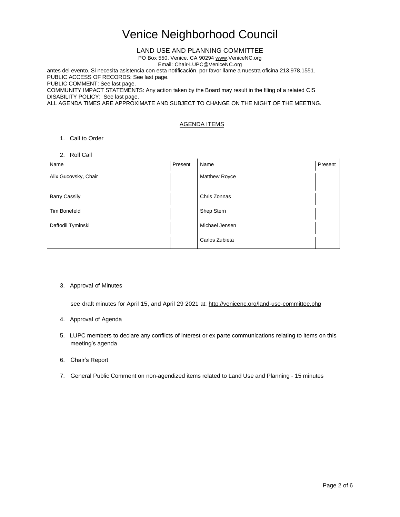### LAND USE AND PLANNING COMMITTEE

PO Box 550, Venice, CA 90294 [www.VeniceNC.org](http://www.venicenc.org/)

Email: Chai[r-LUPC@VeniceNC.org](mailto:LUPC@VeniceNC.org)

antes del evento. Si necesita asistencia con esta notificación, por favor llame a nuestra oficina 213.978.1551. PUBLIC ACCESS OF RECORDS: See last page. PUBLIC COMMENT: See last page.

COMMUNITY IMPACT STATEMENTS: Any action taken by the Board may result in the filing of a related CIS DISABILITY POLICY: See last page.

ALL AGENDA TIMES ARE APPROXIMATE AND SUBJECT TO CHANGE ON THE NIGHT OF THE MEETING.

### AGENDA ITEMS

#### 1. Call to Order

2. Roll Call

| Name                 | Present | Name                 | Present |
|----------------------|---------|----------------------|---------|
| Alix Gucovsky, Chair |         | <b>Matthew Royce</b> |         |
|                      |         |                      |         |
| <b>Barry Cassily</b> |         | Chris Zonnas         |         |
| <b>Tim Bonefeld</b>  |         | Shep Stern           |         |
| Daffodil Tyminski    |         | Michael Jensen       |         |
|                      |         | Carlos Zubieta       |         |

#### 3. Approval of Minutes

see draft minutes for April 15, and April 29 2021 at: <http://venicenc.org/land-use-committee.php>

#### 4. Approval of Agenda

- 5. LUPC members to declare any conflicts of interest or ex parte communications relating to items on this meeting's agenda
- 6. Chair's Report
- 7. General Public Comment on non-agendized items related to Land Use and Planning 15 minutes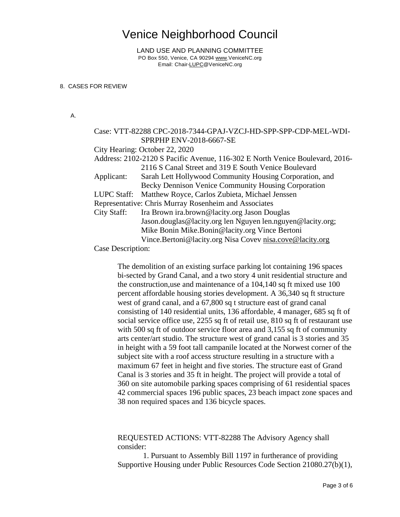LAND USE AND PLANNING COMMITTEE PO Box 550, Venice, CA 90294 [www.VeniceNC.org](http://www.venicenc.org/) Email: Chai[r-LUPC@VeniceNC.org](mailto:LUPC@VeniceNC.org)

### 8. CASES FOR REVIEW

A.

|                  | Case: VTT-82288 CPC-2018-7344-GPAJ-VZCJ-HD-SPP-SPP-CDP-MEL-WDI-              |
|------------------|------------------------------------------------------------------------------|
|                  | SPRPHP ENV-2018-6667-SE                                                      |
|                  | City Hearing: October 22, 2020                                               |
|                  | Address: 2102-2120 S Pacific Avenue, 116-302 E North Venice Boulevard, 2016- |
|                  | 2116 S Canal Street and 319 E South Venice Boulevard                         |
| Applicant:       | Sarah Lett Hollywood Community Housing Corporation, and                      |
|                  | Becky Dennison Venice Community Housing Corporation                          |
| LUPC Staff:      | Matthew Royce, Carlos Zubieta, Michael Jenssen                               |
|                  | Representative: Chris Murray Rosenheim and Associates                        |
| City Staff:      | Ira Brown ira.brown@lacity.org Jason Douglas                                 |
|                  | Jason.douglas@lacity.org len Nguyen len.nguyen@lacity.org;                   |
|                  | Mike Bonin Mike.Bonin@lacity.org Vince Bertoni                               |
|                  | Vince.Bertoni@lacity.org Nisa Covev nisa.cove@lacity.org                     |
| Case Description |                                                                              |

Case Description:

The demolition of an existing surface parking lot containing 196 spaces bi-sected by Grand Canal, and a two story 4 unit residential structure and the construction,use and maintenance of a 104,140 sq ft mixed use 100 percent affordable housing stories development. A 36,340 sq ft structure west of grand canal, and a 67,800 sq t structure east of grand canal consisting of 140 residential units, 136 affordable, 4 manager, 685 sq ft of social service office use, 2255 sq ft of retail use, 810 sq ft of restaurant use with 500 sq ft of outdoor service floor area and 3,155 sq ft of community arts center/art studio. The structure west of grand canal is 3 stories and 35 in height with a 59 foot tall campanile located at the Norwest corner of the subject site with a roof access structure resulting in a structure with a maximum 67 feet in height and five stories. The structure east of Grand Canal is 3 stories and 35 ft in height. The project will provide a total of 360 on site automobile parking spaces comprising of 61 residential spaces 42 commercial spaces 196 public spaces, 23 beach impact zone spaces and 38 non required spaces and 136 bicycle spaces.

REQUESTED ACTIONS: VTT-82288 The Advisory Agency shall consider:

1. Pursuant to Assembly Bill 1197 in furtherance of providing Supportive Housing under Public Resources Code Section 21080.27(b)(1),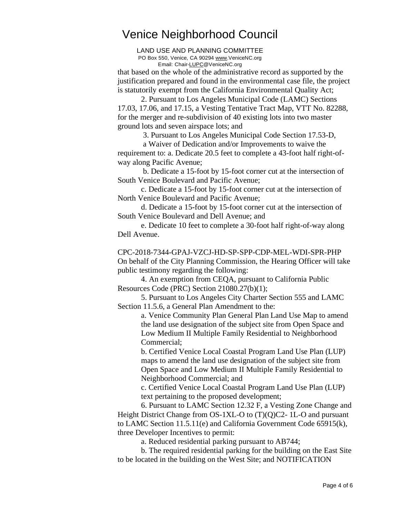LAND USE AND PLANNING COMMITTEE PO Box 550, Venice, CA 90294 [www.VeniceNC.org](http://www.venicenc.org/) Email: Chai[r-LUPC@VeniceNC.org](mailto:LUPC@VeniceNC.org)

that based on the whole of the administrative record as supported by the justification prepared and found in the environmental case file, the project is statutorily exempt from the California Environmental Quality Act;

2. Pursuant to Los Angeles Municipal Code (LAMC) Sections 17.03, 17.06, and 17.15, a Vesting Tentative Tract Map, VTT No. 82288, for the merger and re-subdivision of 40 existing lots into two master ground lots and seven airspace lots; and

3. Pursuant to Los Angeles Municipal Code Section 17.53-D,

a Waiver of Dedication and/or Improvements to waive the requirement to: a. Dedicate 20.5 feet to complete a 43-foot half right-ofway along Pacific Avenue;

b. Dedicate a 15-foot by 15-foot corner cut at the intersection of South Venice Boulevard and Pacific Avenue;

c. Dedicate a 15-foot by 15-foot corner cut at the intersection of North Venice Boulevard and Pacific Avenue;

d. Dedicate a 15-foot by 15-foot corner cut at the intersection of South Venice Boulevard and Dell Avenue; and

e. Dedicate 10 feet to complete a 30-foot half right-of-way along Dell Avenue.

CPC-2018-7344-GPAJ-VZCJ-HD-SP-SPP-CDP-MEL-WDI-SPR-PHP On behalf of the City Planning Commission, the Hearing Officer will take public testimony regarding the following:

4. An exemption from CEQA, pursuant to California Public Resources Code (PRC) Section 21080.27(b)(1);

5. Pursuant to Los Angeles City Charter Section 555 and LAMC Section 11.5.6, a General Plan Amendment to the:

> a. Venice Community Plan General Plan Land Use Map to amend the land use designation of the subject site from Open Space and Low Medium II Multiple Family Residential to Neighborhood Commercial;

b. Certified Venice Local Coastal Program Land Use Plan (LUP) maps to amend the land use designation of the subject site from Open Space and Low Medium II Multiple Family Residential to Neighborhood Commercial; and

c. Certified Venice Local Coastal Program Land Use Plan (LUP) text pertaining to the proposed development;

6. Pursuant to LAMC Section 12.32 F, a Vesting Zone Change and Height District Change from OS-1XL-O to (T)(Q)C2- 1L-O and pursuant to LAMC Section 11.5.11(e) and California Government Code 65915(k), three Developer Incentives to permit:

a. Reduced residential parking pursuant to AB744;

b. The required residential parking for the building on the East Site to be located in the building on the West Site; and NOTIFICATION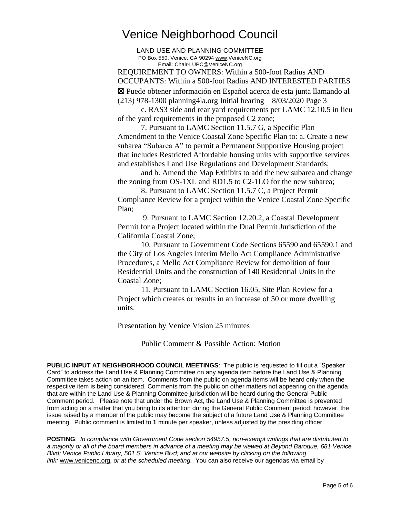LAND USE AND PLANNING COMMITTEE PO Box 550, Venice, CA 90294 [www.VeniceNC.org](http://www.venicenc.org/) Email: Chai[r-LUPC@VeniceNC.org](mailto:LUPC@VeniceNC.org)

REQUIREMENT TO OWNERS: Within a 500-foot Radius AND OCCUPANTS: Within a 500-foot Radius AND INTERESTED PARTIES ☒ Puede obtener información en Español acerca de esta junta llamando al (213) 978-1300 planning4la.org Initial hearing – 8/03/2020 Page 3

c. RAS3 side and rear yard requirements per LAMC 12.10.5 in lieu of the yard requirements in the proposed C2 zone;

7. Pursuant to LAMC Section 11.5.7 G, a Specific Plan Amendment to the Venice Coastal Zone Specific Plan to: a. Create a new subarea "Subarea A" to permit a Permanent Supportive Housing project that includes Restricted Affordable housing units with supportive services and establishes Land Use Regulations and Development Standards;

and b. Amend the Map Exhibits to add the new subarea and change the zoning from OS-1XL and RD1.5 to C2-1LO for the new subarea;

8. Pursuant to LAMC Section 11.5.7 C, a Project Permit Compliance Review for a project within the Venice Coastal Zone Specific Plan;

9. Pursuant to LAMC Section 12.20.2, a Coastal Development Permit for a Project located within the Dual Permit Jurisdiction of the California Coastal Zone;

10. Pursuant to Government Code Sections 65590 and 65590.1 and the City of Los Angeles Interim Mello Act Compliance Administrative Procedures, a Mello Act Compliance Review for demolition of four Residential Units and the construction of 140 Residential Units in the Coastal Zone;

11. Pursuant to LAMC Section 16.05, Site Plan Review for a Project which creates or results in an increase of 50 or more dwelling units.

Presentation by Venice Vision 25 minutes

Public Comment & Possible Action: Motion

**PUBLIC INPUT AT NEIGHBORHOOD COUNCIL MEETINGS**: The public is requested to fill out a "Speaker Card" to address the Land Use & Planning Committee on any agenda item before the Land Use & Planning Committee takes action on an item. Comments from the public on agenda items will be heard only when the respective item is being considered. Comments from the public on other matters not appearing on the agenda that are within the Land Use & Planning Committee jurisdiction will be heard during the General Public Comment period. Please note that under the Brown Act, the Land Use & Planning Committee is prevented from acting on a matter that you bring to its attention during the General Public Comment period; however, the issue raised by a member of the public may become the subject of a future Land Use & Planning Committee meeting. Public comment is limited to **1** minute per speaker, unless adjusted by the presiding officer.

**POSTING**: *In compliance with Government Code section 54957.5, non-exempt writings that are distributed to* a majority or all of the board members in advance of a meeting may be viewed at Beyond Baroque, 681 Venice *Blvd; Venice Public Library, 501 S. Venice Blvd; and at our website by clicking on the following link:* [www.venicenc.org](http://www.venicenc.org/)*, or at the scheduled meeting.* You can also receive our agendas via email by